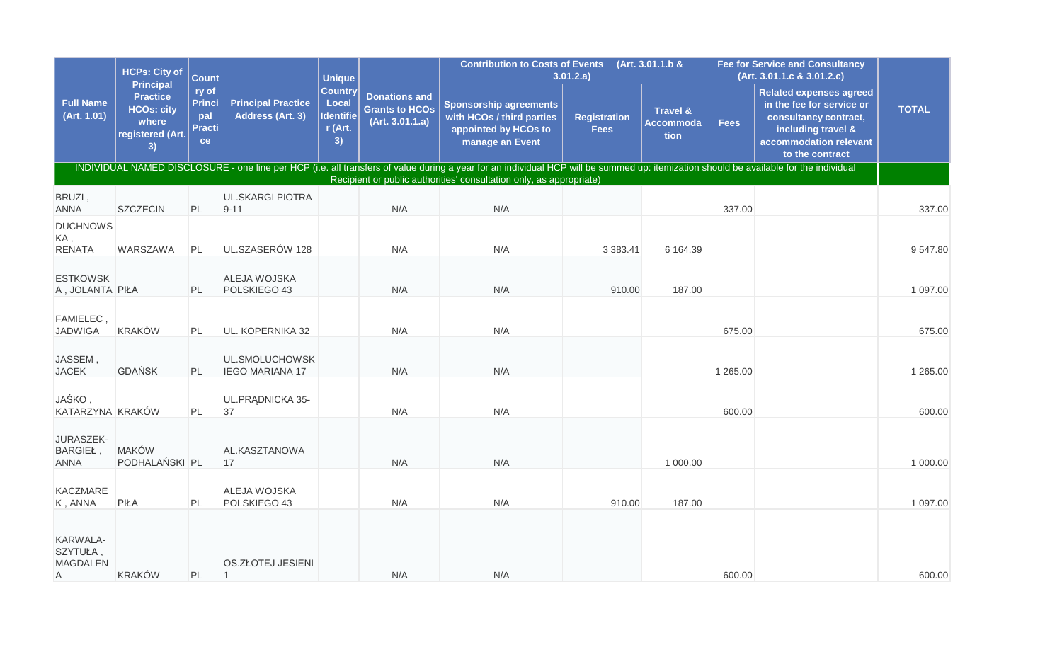|                                              | <b>HCPs: City of</b>                                                                        | <b>Count</b>                                         |                                               | <b>Unique</b>                                                |                                                                  | <b>Contribution to Costs of Events</b><br>(Art. 3.01.1.b &<br>3.01.2.a)                                                                                                                                                                                      |                                    |                                                 |             | <b>Fee for Service and Consultancy</b><br>(Art. 3.01.1.c & 3.01.2.c)                                                                                    |              |
|----------------------------------------------|---------------------------------------------------------------------------------------------|------------------------------------------------------|-----------------------------------------------|--------------------------------------------------------------|------------------------------------------------------------------|--------------------------------------------------------------------------------------------------------------------------------------------------------------------------------------------------------------------------------------------------------------|------------------------------------|-------------------------------------------------|-------------|---------------------------------------------------------------------------------------------------------------------------------------------------------|--------------|
| <b>Full Name</b><br>(Rrt. 1.01)              | <b>Principal</b><br><b>Practice</b><br><b>HCOs: city</b><br>where<br>registered (Art.<br>3) | ry of<br><b>Princi</b><br>pal<br><b>Practi</b><br>ce | <b>Principal Practice</b><br>Address (Art. 3) | <b>Country</b><br>Local<br><b>Identifie</b><br>r (Art.<br>3) | <b>Donations and</b><br><b>Grants to HCOs</b><br>(Art. 3.01.1.a) | <b>Sponsorship agreements</b><br>with HCOs / third parties<br>appointed by HCOs to<br>manage an Event                                                                                                                                                        | <b>Registration</b><br><b>Fees</b> | <b>Travel &amp;</b><br><b>Accommoda</b><br>tion | <b>Fees</b> | <b>Related expenses agreed</b><br>in the fee for service or<br>consultancy contract,<br>including travel &<br>accommodation relevant<br>to the contract | <b>TOTAL</b> |
|                                              |                                                                                             |                                                      |                                               |                                                              |                                                                  | INDIVIDUAL NAMED DISCLOSURE - one line per HCP (i.e. all transfers of value during a year for an individual HCP will be summed up: itemization should be available for the individual<br>Recipient or public authorities' consultation only, as appropriate) |                                    |                                                 |             |                                                                                                                                                         |              |
| BRUZI,<br><b>ANNA</b>                        | <b>SZCZECIN</b>                                                                             | PL                                                   | <b>UL.SKARGI PIOTRA</b><br>$9 - 11$           |                                                              | N/A                                                              | N/A                                                                                                                                                                                                                                                          |                                    |                                                 | 337.00      |                                                                                                                                                         | 337.00       |
| <b>DUCHNOWS</b><br>KA,<br><b>RENATA</b>      | WARSZAWA                                                                                    | PL                                                   | UL.SZASERÓW 128                               |                                                              | N/A                                                              | N/A                                                                                                                                                                                                                                                          | 3 383.41                           | 6 164.39                                        |             |                                                                                                                                                         | 9 547.80     |
| <b>ESTKOWSK</b><br>A, JOLANTA PIŁA           |                                                                                             | PL                                                   | ALEJA WOJSKA<br>POLSKIEGO 43                  |                                                              | N/A                                                              | N/A                                                                                                                                                                                                                                                          | 910.00                             | 187.00                                          |             |                                                                                                                                                         | 1 097.00     |
| FAMIELEC,<br><b>JADWIGA</b>                  | <b>KRAKÓW</b>                                                                               | PL                                                   | <b>UL. KOPERNIKA 32</b>                       |                                                              | N/A                                                              | N/A                                                                                                                                                                                                                                                          |                                    |                                                 | 675.00      |                                                                                                                                                         | 675.00       |
| JASSEM,<br><b>JACEK</b>                      | <b>GDAŃSK</b>                                                                               | PL                                                   | UL.SMOLUCHOWSK<br><b>IEGO MARIANA 17</b>      |                                                              | N/A                                                              | N/A                                                                                                                                                                                                                                                          |                                    |                                                 | 1 265.00    |                                                                                                                                                         | 1 265.00     |
| JAŚKO,<br>KATARZYNA KRAKÓW                   |                                                                                             | PL                                                   | UL.PRADNICKA 35-<br>37                        |                                                              | N/A                                                              | N/A                                                                                                                                                                                                                                                          |                                    |                                                 | 600.00      |                                                                                                                                                         | 600.00       |
| JURASZEK-<br>BARGIEŁ,<br>ANNA                | <b>MAKÓW</b><br>PODHALAŃSKI PL                                                              |                                                      | AL.KASZTANOWA<br>17                           |                                                              | N/A                                                              | N/A                                                                                                                                                                                                                                                          |                                    | 1 000.00                                        |             |                                                                                                                                                         | 1 000.00     |
| <b>KACZMARE</b><br>K, ANNA                   | PIŁA                                                                                        | PL                                                   | ALEJA WOJSKA<br>POLSKIEGO 43                  |                                                              | N/A                                                              | N/A                                                                                                                                                                                                                                                          | 910.00                             | 187.00                                          |             |                                                                                                                                                         | 1 097.00     |
| KARWALA-<br>SZYTUŁA,<br><b>MAGDALEN</b><br>A | <b>KRAKÓW</b>                                                                               | PL                                                   | <b>OS.ZŁOTEJ JESIENI</b><br>$\overline{1}$    |                                                              | N/A                                                              | N/A                                                                                                                                                                                                                                                          |                                    |                                                 | 600.00      |                                                                                                                                                         | 600.00       |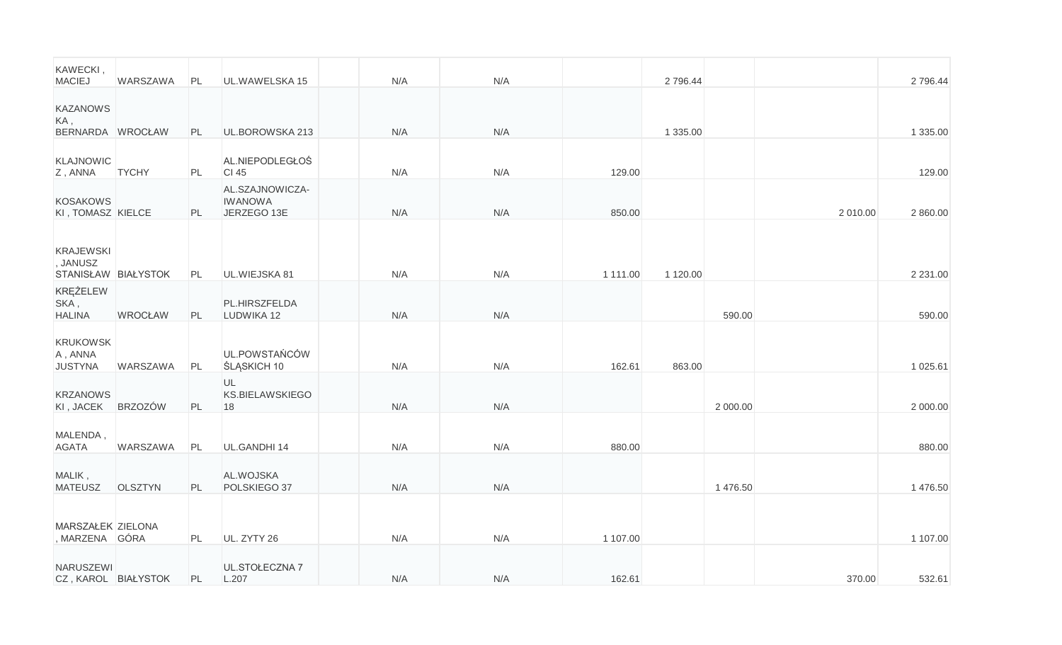| KAWECKI,<br><b>MACIEJ</b>                           | <b>WARSZAWA</b> | PL | UL.WAWELSKA 15                                   | N/A | N/A |          | 2 796.44 |          |          | 2796.44     |
|-----------------------------------------------------|-----------------|----|--------------------------------------------------|-----|-----|----------|----------|----------|----------|-------------|
| <b>KAZANOWS</b><br>KA,<br>BERNARDA WROCŁAW          |                 | PL | UL.BOROWSKA 213                                  | N/A | N/A |          | 1 335.00 |          |          | 1 335.00    |
| KLAJNOWIC<br>Z, ANNA                                | <b>TYCHY</b>    | PL | AL.NIEPODLEGŁOŚ<br>CI 45                         | N/A | N/A | 129.00   |          |          |          | 129.00      |
| <b>KOSAKOWS</b><br>KI, TOMASZ KIELCE                |                 | PL | AL.SZAJNOWICZA-<br><b>IWANOWA</b><br>JERZEGO 13E | N/A | N/A | 850.00   |          |          | 2 010.00 | 2 860.00    |
| <b>KRAJEWSKI</b><br>, JANUSZ<br>STANISŁAW BIAŁYSTOK |                 | PL | UL.WIEJSKA 81                                    | N/A | N/A | 1 111.00 | 1 120.00 |          |          | 2 2 3 1 .00 |
| KRĘŻELEW<br>SKA,<br><b>HALINA</b>                   | <b>WROCŁAW</b>  | PL | PL.HIRSZFELDA<br>LUDWIKA 12                      | N/A | N/A |          |          | 590.00   |          | 590.00      |
| <b>KRUKOWSK</b><br>A, ANNA<br><b>JUSTYNA</b>        | WARSZAWA        | PL | UL.POWSTAŃCÓW<br><b>ŚLĄSKICH 10</b>              | N/A | N/A | 162.61   | 863.00   |          |          | 1 025.61    |
| <b>KRZANOWS</b><br>KI, JACEK                        | <b>BRZOZÓW</b>  | PL | UL<br><b>KS.BIELAWSKIEGO</b><br>18               | N/A | N/A |          |          | 2 000.00 |          | 2 000.00    |
| MALENDA,<br><b>AGATA</b>                            | WARSZAWA        | PL | UL.GANDHI 14                                     | N/A | N/A | 880.00   |          |          |          | 880.00      |
| MALIK,<br><b>MATEUSZ</b>                            | OLSZTYN         | PL | AL.WOJSKA<br>POLSKIEGO 37                        | N/A | N/A |          |          | 1 476.50 |          | 1 476.50    |
| MARSZAŁEK ZIELONA<br>, MARZENA GÓRA                 |                 | PL | UL. ZYTY 26                                      | N/A | N/A | 1 107.00 |          |          |          | 1 107.00    |
| NARUSZEWI<br>CZ, KAROL BIAŁYSTOK                    |                 | PL | UL.STOŁECZNA 7<br>L.207                          | N/A | N/A | 162.61   |          |          | 370.00   | 532.61      |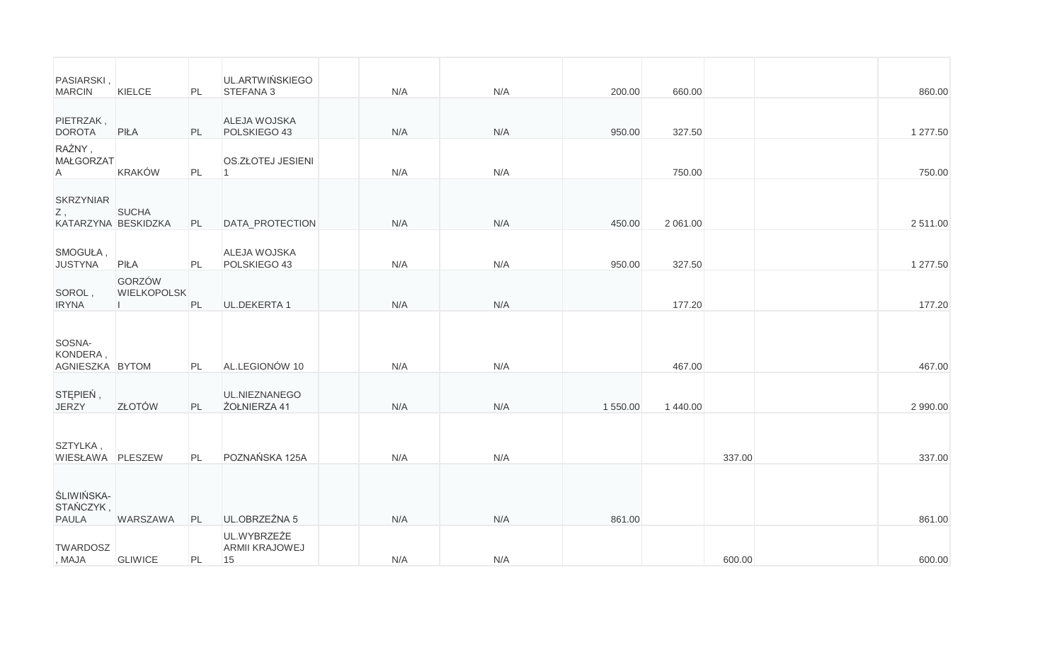| PASIARSKI,<br><b>MARCIN</b>                      | <b>KIELCE</b>                | PL | UL.ARTWIŃSKIEGO<br>STEFANA 3        | N/A | N/A | 200.00   | 660.00   |        | 860.00   |
|--------------------------------------------------|------------------------------|----|-------------------------------------|-----|-----|----------|----------|--------|----------|
| PIETRZAK,<br><b>DOROTA</b>                       | PIŁA                         | PL | ALEJA WOJSKA<br>POLSKIEGO 43        | N/A | N/A | 950.00   | 327.50   |        | 1 277.50 |
| RAŹNY,<br><b>MAŁGORZAT</b><br>A                  | <b>KRAKÓW</b>                | PL | OS.ZŁOTEJ JESIENI<br>$\vert$ 1      | N/A | N/A |          | 750.00   |        | 750.00   |
| <b>SKRZYNIAR</b><br>$Z$ ,<br>KATARZYNA BESKIDZKA | <b>SUCHA</b>                 | PL |                                     | N/A | N/A | 450.00   | 2 061.00 |        | 2 511.00 |
| SMOGUŁA,                                         |                              |    | DATA_PROTECTION<br>ALEJA WOJSKA     |     |     |          |          |        |          |
| <b>JUSTYNA</b>                                   | PIŁA                         | PL | POLSKIEGO 43                        | N/A | N/A | 950.00   | 327.50   |        | 1 277.50 |
| SOROL,<br><b>IRYNA</b>                           | GORZÓW<br><b>WIELKOPOLSK</b> | PL | UL.DEKERTA 1                        | N/A | N/A |          | 177.20   |        | 177.20   |
| SOSNA-<br>KONDERA,<br>AGNIESZKA BYTOM            |                              | PL | AL.LEGIONÓW 10                      | N/A | N/A |          | 467.00   |        | 467.00   |
| STĘPIEŃ,<br><b>JERZY</b>                         | <b>ZŁOTÓW</b>                | PL | UL.NIEZNANEGO<br>ŻOŁNIERZA 41       | N/A | N/A | 1 550.00 | 1 440.00 |        | 2 990.00 |
| SZTYLKA,<br>WIESŁAWA PLESZEW                     |                              | PL | POZNAŃSKA 125A                      | N/A | N/A |          |          | 337.00 | 337.00   |
| ŚLIWIŃSKA-<br>STAŃCZYK,<br><b>PAULA</b>          | WARSZAWA                     | PL | UL.OBRZEŻNA 5                       | N/A | N/A | 861.00   |          |        | 861.00   |
| <b>TWARDOSZ</b><br>, MAJA                        | <b>GLIWICE</b>               | PL | UL.WYBRZEŻE<br>ARMII KRAJOWEJ<br>15 | N/A | N/A |          |          | 600.00 | 600.00   |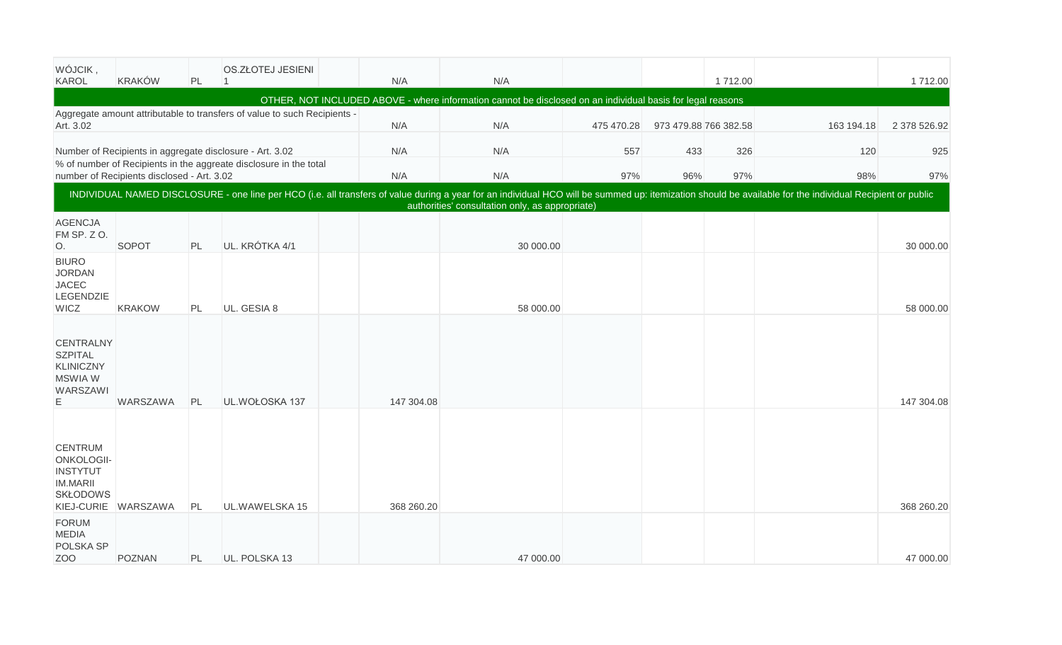| WÓJCIK,<br><b>KAROL</b>                                                                   | <b>KRAKÓW</b>                              | PL  | OS.ZŁOTEJ JESIENI                                                        | N/A        | N/A                                                                                                        |            |                       | 1712.00 |                                                                                                                                                                                                           | 1712.00      |
|-------------------------------------------------------------------------------------------|--------------------------------------------|-----|--------------------------------------------------------------------------|------------|------------------------------------------------------------------------------------------------------------|------------|-----------------------|---------|-----------------------------------------------------------------------------------------------------------------------------------------------------------------------------------------------------------|--------------|
|                                                                                           |                                            |     |                                                                          |            | OTHER, NOT INCLUDED ABOVE - where information cannot be disclosed on an individual basis for legal reasons |            |                       |         |                                                                                                                                                                                                           |              |
| Art. 3.02                                                                                 |                                            |     | Aggregate amount attributable to transfers of value to such Recipients - | N/A        | N/A                                                                                                        | 475 470.28 | 973 479.88 766 382.58 |         | 163 194.18                                                                                                                                                                                                | 2 378 526.92 |
|                                                                                           |                                            |     | Number of Recipients in aggregate disclosure - Art. 3.02                 | N/A        | N/A                                                                                                        | 557        | 433                   | 326     | 120                                                                                                                                                                                                       | 925          |
|                                                                                           | number of Recipients disclosed - Art. 3.02 |     | % of number of Recipients in the aggreate disclosure in the total        | N/A        | N/A                                                                                                        | 97%        | 96%                   | 97%     | 98%                                                                                                                                                                                                       | 97%          |
|                                                                                           |                                            |     |                                                                          |            | authorities consultation only, as appropriate)                                                             |            |                       |         | INDIVIDUAL NAMED DISCLOSURE - one line per HCO (i.e. all transfers of value during a year for an individual HCO will be summed up: itemization should be available for the individual Recipient or public |              |
| <b>AGENCJA</b><br>FM SP. ZO.<br>O.                                                        | SOPOT                                      | PL  | UL. KRÓTKA 4/1                                                           |            | 30 000.00                                                                                                  |            |                       |         |                                                                                                                                                                                                           | 30 000.00    |
| <b>BIURO</b><br><b>JORDAN</b><br><b>JACEC</b><br>LEGENDZIE<br><b>WICZ</b>                 | <b>KRAKOW</b>                              | PL  | UL. GESIA 8                                                              |            | 58 000.00                                                                                                  |            |                       |         |                                                                                                                                                                                                           | 58 000.00    |
| <b>CENTRALNY</b><br><b>SZPITAL</b><br><b>KLINICZNY</b><br><b>MSWIA W</b><br>WARSZAWI<br>F | <b>WARSZAWA</b>                            | PL  | UL.WOŁOSKA 137                                                           | 147 304.08 |                                                                                                            |            |                       |         |                                                                                                                                                                                                           | 147 304.08   |
| <b>CENTRUM</b><br>ONKOLOGII-<br><b>INSTYTUT</b><br><b>IM.MARII</b><br><b>SKŁODOWS</b>     | KIEJ-CURIE WARSZAWA                        | PL  | UL.WAWELSKA 15                                                           | 368 260.20 |                                                                                                            |            |                       |         |                                                                                                                                                                                                           | 368 260.20   |
| <b>FORUM</b><br><b>MEDIA</b><br>POLSKA SP<br>ZOO                                          | POZNAN                                     | PL. | UL. POLSKA 13                                                            |            | 47 000.00                                                                                                  |            |                       |         |                                                                                                                                                                                                           | 47 000.00    |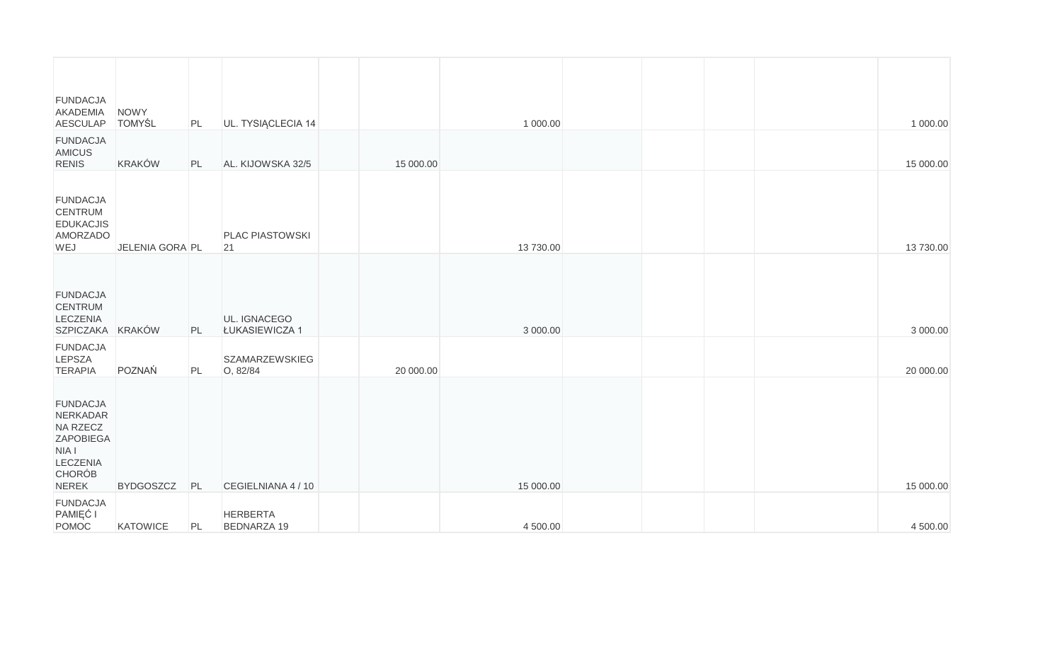| <b>FUNDACJA</b>                                                                                            |                              |    |                                       |           |           |  |  |           |
|------------------------------------------------------------------------------------------------------------|------------------------------|----|---------------------------------------|-----------|-----------|--|--|-----------|
| AKADEMIA<br><b>AESCULAP</b>                                                                                | <b>NOWY</b><br><b>TOMYŚL</b> | PL | UL. TYSIĄCLECIA 14                    |           | 1 000.00  |  |  | 1 000.00  |
| <b>FUNDACJA</b><br>AMICUS<br><b>RENIS</b>                                                                  | <b>KRAKÓW</b>                | PL | AL. KIJOWSKA 32/5                     | 15 000.00 |           |  |  | 15 000.00 |
| <b>FUNDACJA</b><br><b>CENTRUM</b><br><b>EDUKACJIS</b><br><b>AMORZADO</b><br>WEJ                            | JELENIA GORA PL              |    | <b>PLAC PIASTOWSKI</b><br>21          |           | 13 730.00 |  |  | 13 730.00 |
| <b>FUNDACJA</b><br><b>CENTRUM</b><br><b>LECZENIA</b><br>SZPICZAKA KRAKÓW                                   |                              | PL | UL. IGNACEGO<br>ŁUKASIEWICZA 1        |           | 3 000.00  |  |  | 3 000.00  |
| <b>FUNDACJA</b><br>LEPSZA<br><b>TERAPIA</b>                                                                | POZNAŃ                       | PL | <b>SZAMARZEWSKIEG</b><br>O, 82/84     | 20 000.00 |           |  |  | 20 000.00 |
| <b>FUNDACJA</b><br>NERKADAR<br>NA RZECZ<br>ZAPOBIEGA<br>NIA I<br>LECZENIA<br><b>CHORÓB</b><br><b>NEREK</b> | <b>BYDGOSZCZ</b>             | PL | CEGIELNIANA 4 / 10                    |           | 15 000.00 |  |  | 15 000.00 |
| <b>FUNDACJA</b><br>PAMIĘĆ I<br>POMOC                                                                       | <b>KATOWICE</b>              | PL | <b>HERBERTA</b><br><b>BEDNARZA 19</b> |           | 4 500.00  |  |  | 4 500.00  |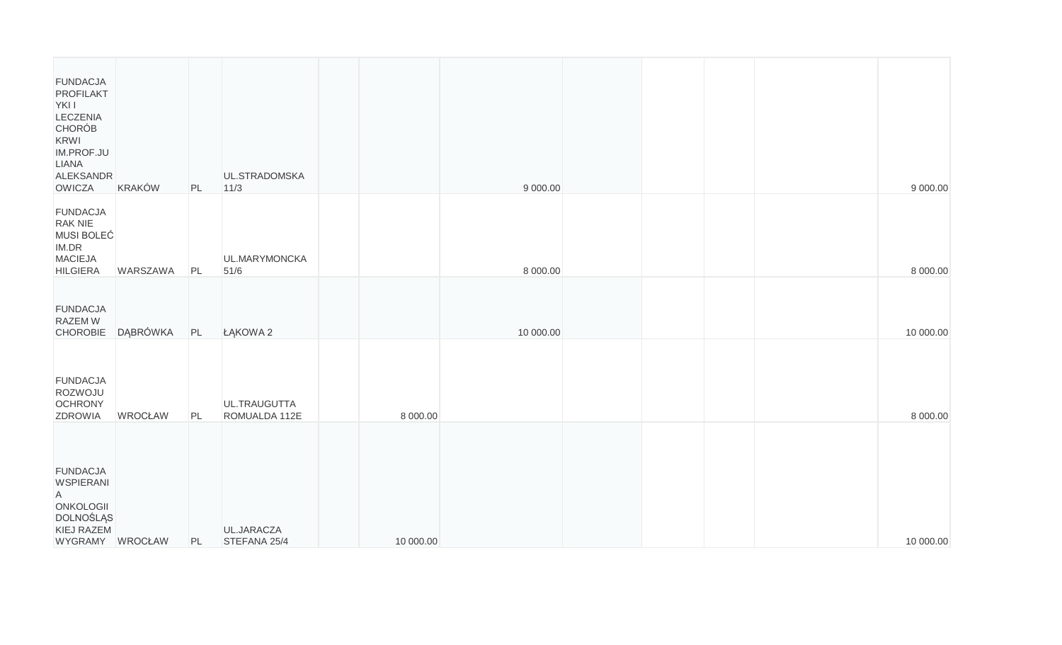| <b>FUNDACJA</b><br>PROFILAKT<br>YKI I<br><b>LECZENIA</b><br><b>CHORÓB</b><br>KRWI<br>IM.PROF.JU<br>LIANA<br><b>ALEKSANDR</b><br>OWICZA | <b>KRAKÓW</b>     | PL | UL.STRADOMSKA<br>$11/3$       |           | 9 000.00  |  |  | 9 000.00  |
|----------------------------------------------------------------------------------------------------------------------------------------|-------------------|----|-------------------------------|-----------|-----------|--|--|-----------|
| <b>FUNDACJA</b><br><b>RAK NIE</b><br>MUSI BOLEĆ<br>IM.DR<br><b>MACIEJA</b><br><b>HILGIERA</b>                                          | WARSZAWA          | PL | UL.MARYMONCKA<br>$51/6$       |           | 8 000.00  |  |  | 8 000.00  |
| <b>FUNDACJA</b><br>RAZEM W                                                                                                             | CHOROBIE DĄBRÓWKA | PL | ŁĄKOWA 2                      |           | 10 000.00 |  |  | 10 000.00 |
| <b>FUNDACJA</b><br>ROZWOJU<br><b>OCHRONY</b><br>ZDROWIA                                                                                | <b>WROCŁAW</b>    | PL | UL.TRAUGUTTA<br>ROMUALDA 112E | 8 000.00  |           |  |  | 8 000.00  |
| <b>FUNDACJA</b><br>WSPIERANI<br>$\overline{A}$<br>ONKOLOGII<br>DOLNOŚLĄS<br>KIEJ RAZEM<br>WYGRAMY WROCŁAW                              |                   | PL | UL.JARACZA<br>STEFANA 25/4    | 10 000.00 |           |  |  | 10 000.00 |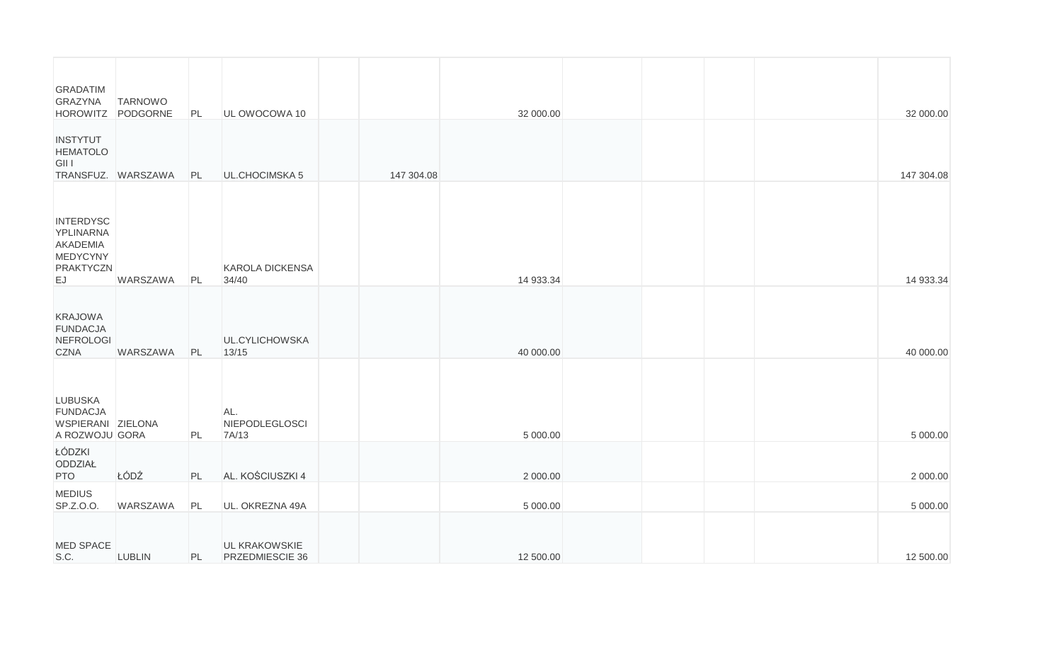| <b>GRADATIM</b><br>GRAZYNA<br>HOROWITZ PODGORNE                                 | <b>TARNOWO</b>     | PL | UL OWOCOWA 10                           |            | 32 000.00 |  |  | 32 000.00  |
|---------------------------------------------------------------------------------|--------------------|----|-----------------------------------------|------------|-----------|--|--|------------|
| <b>INSTYTUT</b><br><b>HEMATOLO</b><br>GII I                                     | TRANSFUZ. WARSZAWA | PL | UL.CHOCIMSKA 5                          | 147 304.08 |           |  |  | 147 304.08 |
| <b>INTERDYSC</b><br>YPLINARNA<br>AKADEMIA<br>MEDYCYNY<br><b>PRAKTYCZN</b><br>EJ | <b>WARSZAWA</b>    | PL | <b>KAROLA DICKENSA</b><br>34/40         |            | 14 933.34 |  |  | 14 933.34  |
| <b>KRAJOWA</b><br><b>FUNDACJA</b><br>NEFROLOGI<br><b>CZNA</b>                   | WARSZAWA           | PL | UL.CYLICHOWSKA<br>13/15                 |            | 40 000.00 |  |  | 40 000.00  |
| <b>LUBUSKA</b><br><b>FUNDACJA</b><br>WSPIERANI ZIELONA<br>A ROZWOJU GORA        |                    | PL | AL.<br>NIEPODLEGLOSCI<br>7A/13          |            | 5 000.00  |  |  | 5 000.00   |
| ŁÓDZKI<br>ODDZIAŁ<br><b>PTO</b>                                                 | ŁÓDŹ               | PL | AL. KOŚCIUSZKI 4                        |            | 2 000.00  |  |  | 2 000.00   |
| <b>MEDIUS</b><br>SP.Z.O.O.                                                      | WARSZAWA           | PL | UL. OKREZNA 49A                         |            | 5 000.00  |  |  | 5 000.00   |
| <b>MED SPACE</b><br>S.C.                                                        | <b>LUBLIN</b>      | PL | <b>UL KRAKOWSKIE</b><br>PRZEDMIESCIE 36 |            | 12 500.00 |  |  | 12 500.00  |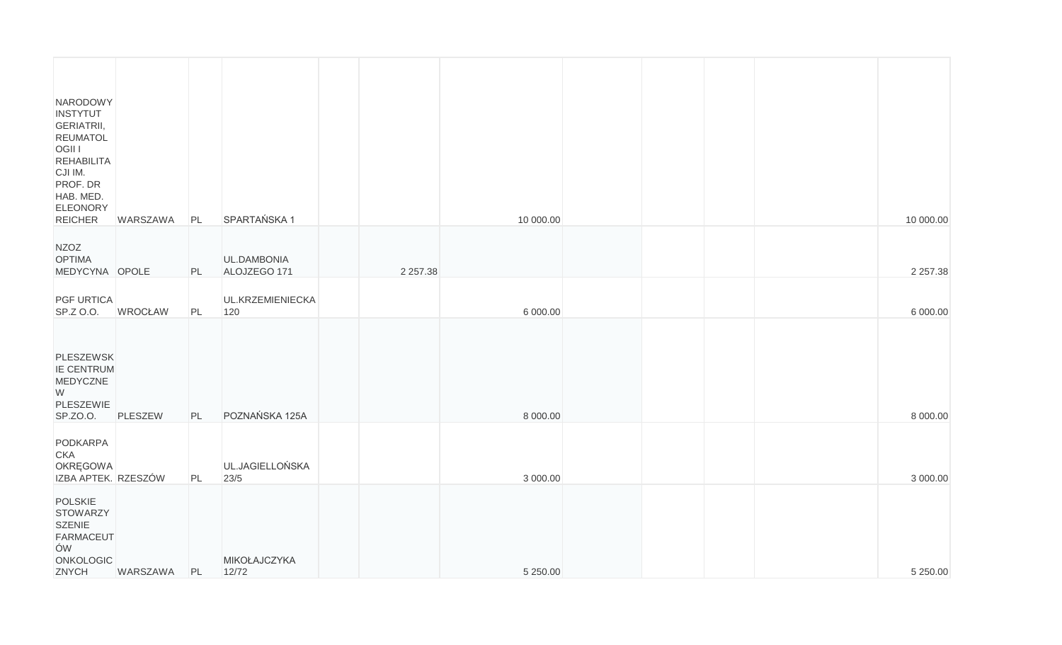| NARODOWY<br><b>INSTYTUT</b><br>GERIATRII,<br><b>REUMATOL</b><br>OGII I<br><b>REHABILITA</b><br>CJI IM.<br>PROF. DR<br>HAB. MED.<br><b>ELEONORY</b><br><b>REICHER</b> | WARSZAWA       | PL | SPARTAŃSKA 1                |               | 10 000.00 |  |  | 10 000.00     |
|----------------------------------------------------------------------------------------------------------------------------------------------------------------------|----------------|----|-----------------------------|---------------|-----------|--|--|---------------|
| <b>NZOZ</b><br><b>OPTIMA</b><br>MEDYCYNA OPOLE                                                                                                                       |                | PL | UL.DAMBONIA<br>ALOJZEGO 171 | 2 2 5 7 . 3 8 |           |  |  | 2 2 5 7 . 3 8 |
| <b>PGF URTICA</b><br>SP.Z O.O.                                                                                                                                       | <b>WROCŁAW</b> | PL | UL.KRZEMIENIECKA<br>120     |               | 6 000.00  |  |  | 6 000.00      |
| PLESZEWSK<br><b>IE CENTRUM</b><br>MEDYCZNE<br>W<br>PLESZEWIE<br>SP.ZO.O.                                                                                             | PLESZEW        | PL | POZNAŃSKA 125A              |               | 8 000.00  |  |  | 8 000.00      |
| PODKARPA<br><b>CKA</b><br><b>OKREGOWA</b><br>IZBA APTEK. RZESZÓW                                                                                                     |                | PL | UL.JAGIELLOŃSKA<br>23/5     |               | 3 000.00  |  |  | 3 000.00      |
| POLSKIE<br><b>STOWARZY</b><br><b>SZENIE</b><br>FARMACEUT<br>ÓW<br><b>ONKOLOGIC</b><br>ZNYCH                                                                          | WARSZAWA       | PL | MIKOŁAJCZYKA<br>12/72       |               | 5 250.00  |  |  | 5 2 5 0.00    |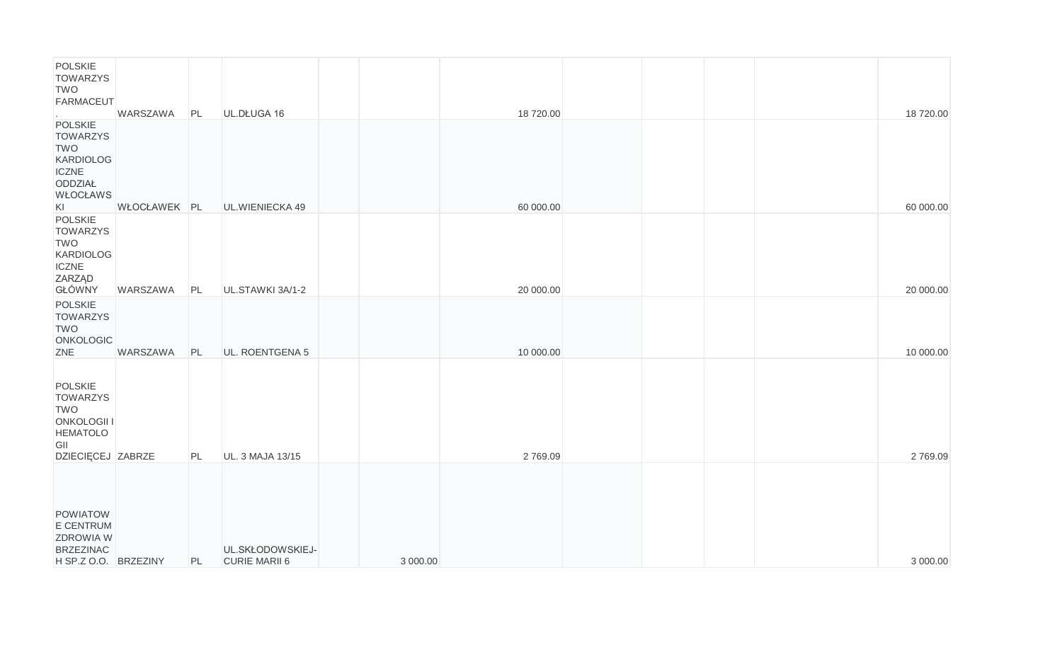| <b>POLSKIE</b><br><b>TOWARZYS</b><br><b>TWO</b><br><b>FARMACEUT</b><br>$\sim$                                 | WARSZAWA     | PL | UL.DŁUGA 16                              |          | 18 720.00 |  |  | 18 720.00 |
|---------------------------------------------------------------------------------------------------------------|--------------|----|------------------------------------------|----------|-----------|--|--|-----------|
| POLSKIE<br><b>TOWARZYS</b><br><b>TWO</b><br><b>KARDIOLOG</b><br>ICZNE<br>ODDZIAŁ<br>WŁOCŁAWS<br>KI            | WŁOCŁAWEK PL |    | UL.WIENIECKA 49                          |          | 60 000.00 |  |  | 60 000.00 |
| POLSKIE<br><b>TOWARZYS</b><br><b>TWO</b><br>KARDIOLOG<br><b>ICZNE</b><br><b>ZARZĄD</b><br>GŁÓWNY              | WARSZAWA     | PL | UL.STAWKI 3A/1-2                         |          | 20 000.00 |  |  | 20 000.00 |
| POLSKIE<br><b>TOWARZYS</b><br><b>TWO</b><br>ONKOLOGIC<br>ZNE                                                  | WARSZAWA     | PL | UL. ROENTGENA 5                          |          | 10 000.00 |  |  | 10 000.00 |
| POLSKIE<br><b>TOWARZYS</b><br><b>TWO</b><br><b>ONKOLOGII I</b><br><b>HEMATOLO</b><br>GII<br>DZIECIĘCEJ ZABRZE |              | PL | UL. 3 MAJA 13/15                         |          | 2769.09   |  |  | 2769.09   |
| POWIATOW<br>E CENTRUM<br><b>ZDROWIA W</b><br><b>BRZEZINAC</b><br>H SP.Z O.O. BRZEZINY                         |              | PL | UL.SKŁODOWSKIEJ-<br><b>CURIE MARII 6</b> | 3 000.00 |           |  |  | 3 000.00  |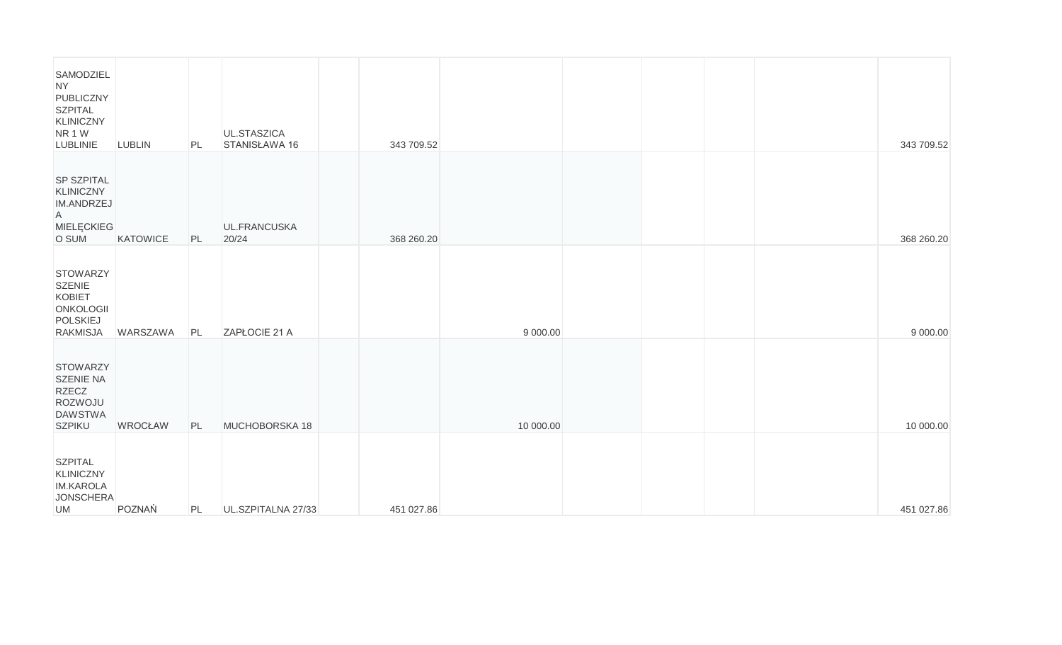| SAMODZIEL<br><b>NY</b><br>PUBLICZNY<br><b>SZPITAL</b><br>KLINICZNY<br>NR <sub>1</sub> W<br><b>LUBLINIE</b> | <b>LUBLIN</b>   | PL | UL.STASZICA<br>STANISŁAWA 16 | 343 709.52 |           |  |  | 343 709.52 |
|------------------------------------------------------------------------------------------------------------|-----------------|----|------------------------------|------------|-----------|--|--|------------|
| <b>SP SZPITAL</b><br><b>KLINICZNY</b><br>IM.ANDRZEJ<br>$\mathsf{A}$<br>MIELĘCKIEG<br>O SUM                 | <b>KATOWICE</b> | PL | UL.FRANCUSKA<br>20/24        | 368 260.20 |           |  |  | 368 260.20 |
| <b>STOWARZY</b><br><b>SZENIE</b><br><b>KOBIET</b><br><b>ONKOLOGII</b><br>POLSKIEJ<br><b>RAKMISJA</b>       | <b>WARSZAWA</b> | PL | ZAPŁOCIE 21 A                |            | 9 000.00  |  |  | 9 000.00   |
| <b>STOWARZY</b><br><b>SZENIE NA</b><br><b>RZECZ</b><br>ROZWOJU<br><b>DAWSTWA</b><br><b>SZPIKU</b>          | <b>WROCŁAW</b>  | PL | MUCHOBORSKA 18               |            | 10 000.00 |  |  | 10 000.00  |
| <b>SZPITAL</b><br>KLINICZNY<br><b>IM.KAROLA</b><br><b>JONSCHERA</b><br><b>UM</b>                           | POZNAŃ          | PL | UL.SZPITALNA 27/33           | 451 027.86 |           |  |  | 451 027.86 |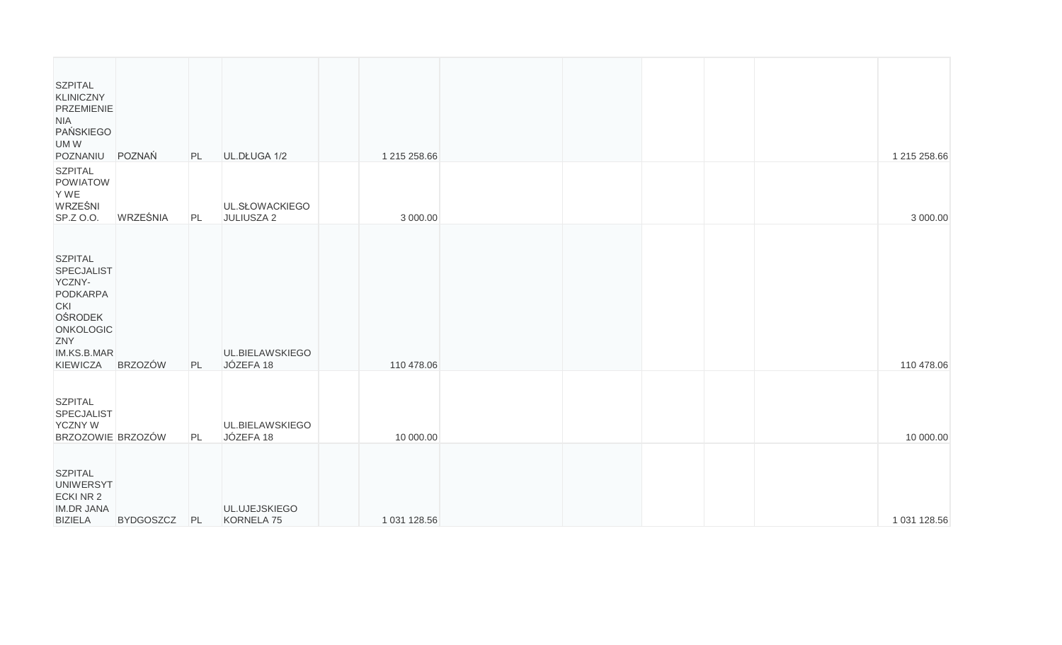| <b>SZPITAL</b><br><b>KLINICZNY</b><br>PRZEMIENIE<br><b>NIA</b><br>PAŃSKIEGO<br>UMW                                                       |                  |    |                              |              |  |  |              |
|------------------------------------------------------------------------------------------------------------------------------------------|------------------|----|------------------------------|--------------|--|--|--------------|
| POZNANIU                                                                                                                                 | POZNAŃ           | PL | UL.DŁUGA 1/2                 | 1 215 258.66 |  |  | 1 215 258.66 |
| <b>SZPITAL</b><br>POWIATOW<br>Y WE<br>WRZEŚNI<br>SP.Z O.O.                                                                               | <b>WRZEŚNIA</b>  | PL | UL.SŁOWACKIEGO<br>JULIUSZA 2 | 3 000.00     |  |  | 3 000.00     |
| <b>SZPITAL</b><br><b>SPECJALIST</b><br>YCZNY-<br>PODKARPA<br><b>CKI</b><br><b>OŚRODEK</b><br>ONKOLOGIC<br>ZNY<br>IM.KS.B.MAR<br>KIEWICZA | <b>BRZOZÓW</b>   | PL | UL.BIELAWSKIEGO<br>JÓZEFA 18 | 110 478.06   |  |  | 110 478.06   |
| <b>SZPITAL</b><br><b>SPECJALIST</b><br><b>YCZNY W</b><br>BRZOZOWIE BRZOZÓW                                                               |                  | PL | UL.BIELAWSKIEGO<br>JÓZEFA 18 | 10 000.00    |  |  | 10 000.00    |
| <b>SZPITAL</b><br><b>UNIWERSYT</b><br><b>ECKINR2</b><br><b>IM.DR JANA</b><br><b>BIZIELA</b>                                              | <b>BYDGOSZCZ</b> | PL | UL.UJEJSKIEGO<br>KORNELA 75  | 1 031 128.56 |  |  | 1 031 128.56 |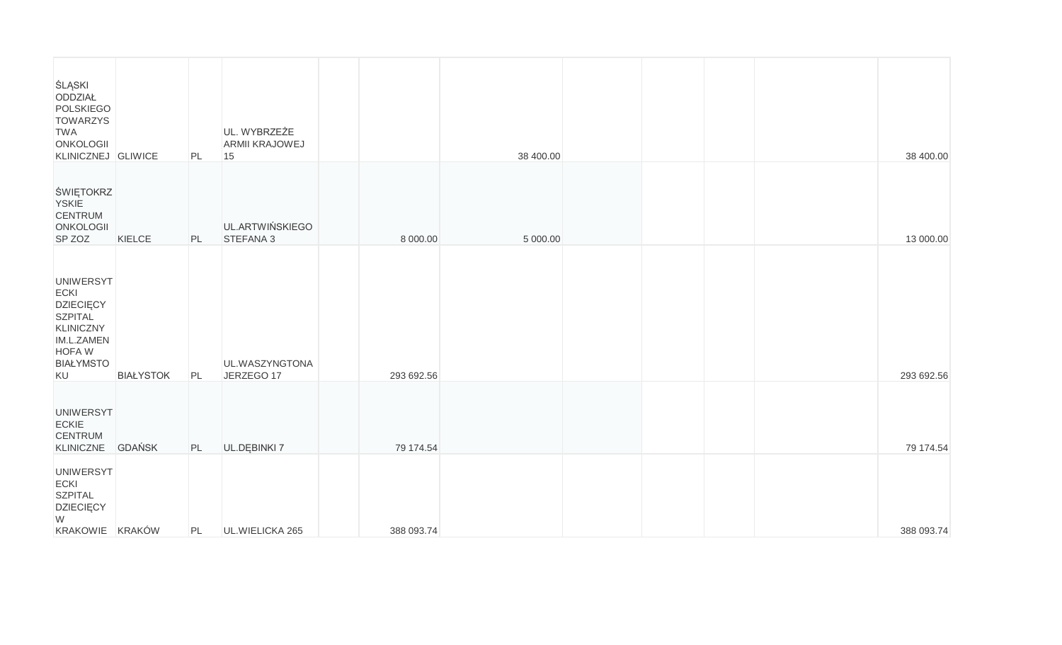| ŚLĄSKI<br>ODDZIAŁ<br>POLSKIEGO<br><b>TOWARZYS</b><br><b>TWA</b><br>ONKOLOGII<br>KLINICZNEJ GLIWICE                                  |                  | PL | UL. WYBRZEŻE<br>ARMII KRAJOWEJ<br>15 |            | 38 400.00 |  |  | 38 400.00  |
|-------------------------------------------------------------------------------------------------------------------------------------|------------------|----|--------------------------------------|------------|-----------|--|--|------------|
| ŚWIĘTOKRZ<br><b>YSKIE</b><br><b>CENTRUM</b><br><b>ONKOLOGII</b><br>SP ZOZ                                                           | KIELCE           | PL | UL.ARTWIŃSKIEGO<br>STEFANA 3         | 8 000.00   | 5 000.00  |  |  | 13 000.00  |
| <b>UNIWERSYT</b><br>ECKI<br><b>DZIECIĘCY</b><br><b>SZPITAL</b><br>KLINICZNY<br>IM.L.ZAMEN<br><b>HOFAW</b><br><b>BIAŁYMSTO</b><br>KU | <b>BIAŁYSTOK</b> | PL | UL.WASZYNGTONA<br>JERZEGO 17         | 293 692.56 |           |  |  | 293 692.56 |
| <b>UNIWERSYT</b><br><b>ECKIE</b><br><b>CENTRUM</b><br>KLINICZNE                                                                     | <b>GDAŃSK</b>    | PL | UL.DĘBINKI 7                         | 79 174.54  |           |  |  | 79 174.54  |
| <b>UNIWERSYT</b><br>ECKI<br><b>SZPITAL</b><br><b>DZIECIĘCY</b><br>W<br>KRAKOWIE KRAKÓW                                              |                  | PL | UL.WIELICKA 265                      | 388 093.74 |           |  |  | 388 093.74 |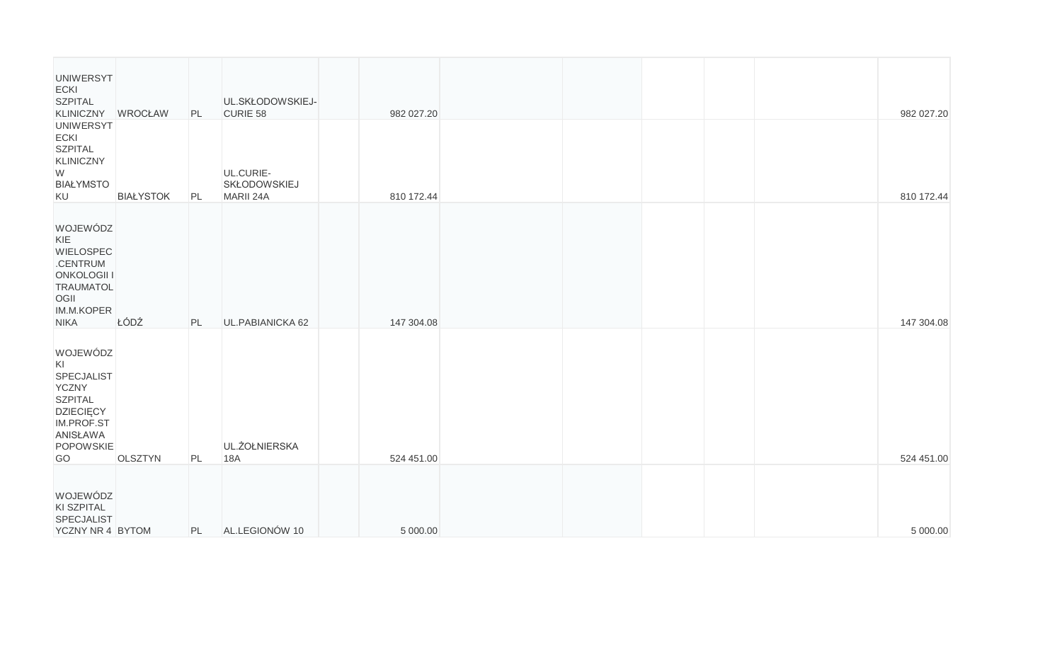| <b>UNIWERSYT</b><br><b>ECKI</b><br><b>SZPITAL</b><br>KLINICZNY WROCŁAW                                                                 |                  | PL | UL.SKŁODOWSKIEJ-<br>CURIE 58                  | 982 027.20 |  |  | 982 027.20 |
|----------------------------------------------------------------------------------------------------------------------------------------|------------------|----|-----------------------------------------------|------------|--|--|------------|
| <b>UNIWERSYT</b><br><b>ECKI</b><br><b>SZPITAL</b><br>KLINICZNY<br>W<br><b>BIAŁYMSTO</b><br>KU                                          | <b>BIAŁYSTOK</b> | PL | UL.CURIE-<br><b>SKŁODOWSKIEJ</b><br>MARII 24A | 810 172.44 |  |  | 810 172.44 |
| WOJEWÓDZ<br>KIE<br><b>WIELOSPEC</b><br>.CENTRUM<br><b>ONKOLOGII I</b><br><b>TRAUMATOL</b><br>OGII<br>IM.M.KOPER<br><b>NIKA</b>         | ŁÓDŹ             | PL | UL.PABIANICKA 62                              | 147 304.08 |  |  | 147 304.08 |
| WOJEWÓDZ<br>KI<br><b>SPECJALIST</b><br><b>YCZNY</b><br><b>SZPITAL</b><br><b>DZIECIĘCY</b><br>IM.PROF.ST<br>ANISŁAWA<br>POPOWSKIE<br>GO | <b>OLSZTYN</b>   | PL | UL.ŻOŁNIERSKA<br><b>18A</b>                   | 524 451.00 |  |  | 524 451.00 |
| WOJEWÓDZ<br>KI SZPITAL<br><b>SPECJALIST</b><br>YCZNY NR 4 BYTOM                                                                        |                  | PL | AL.LEGIONÓW 10                                | 5 000.00   |  |  | 5 000.00   |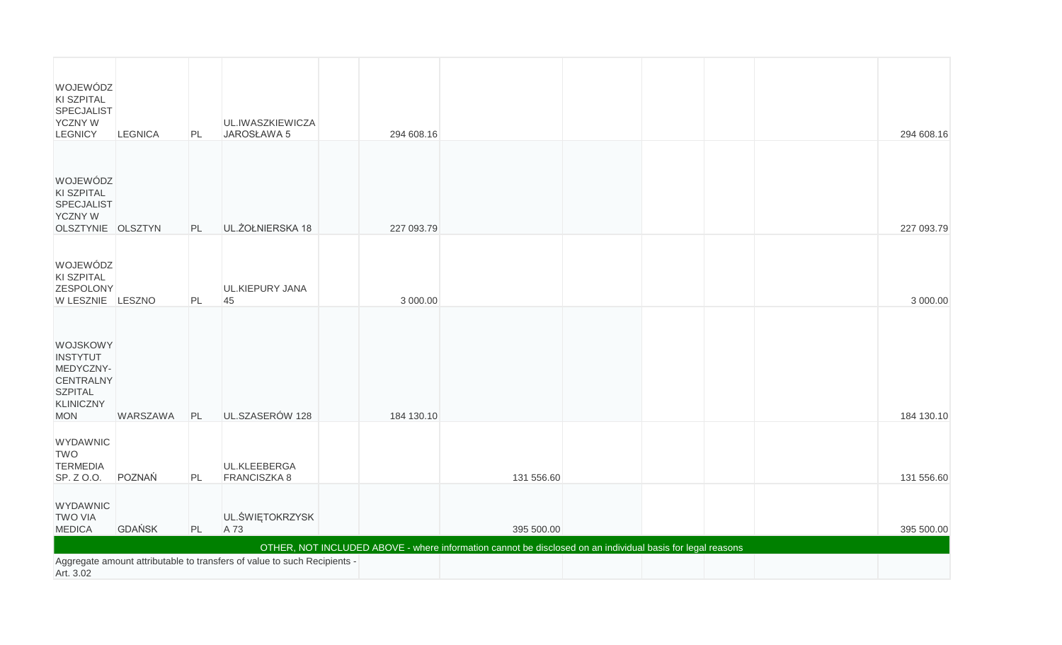| WOJEWÓDZ<br><b>KI SZPITAL</b><br><b>SPECJALIST</b><br><b>YCZNY W</b><br><b>LEGNICY</b>                                                                                                              | <b>LEGNICA</b> | PL | UL.IWASZKIEWICZA<br>JAROSŁAWA 5 |  | 294 608.16 |            |  |  |  | 294 608.16 |
|-----------------------------------------------------------------------------------------------------------------------------------------------------------------------------------------------------|----------------|----|---------------------------------|--|------------|------------|--|--|--|------------|
| WOJEWÓDZ<br><b>KI SZPITAL</b><br>SPECJALIST<br><b>YCZNY W</b><br>OLSZTYNIE OLSZTYN                                                                                                                  |                | PL | UL.ŻOŁNIERSKA 18                |  | 227 093.79 |            |  |  |  | 227 093.79 |
| WOJEWÓDZ<br>KI SZPITAL<br><b>ZESPOLONY</b><br>W LESZNIE LESZNO                                                                                                                                      |                | PL | <b>UL.KIEPURY JANA</b><br>45    |  | 3 000.00   |            |  |  |  | 3 000.00   |
| WOJSKOWY<br><b>INSTYTUT</b><br>MEDYCZNY-<br><b>CENTRALNY</b><br><b>SZPITAL</b><br><b>KLINICZNY</b><br><b>MON</b>                                                                                    | WARSZAWA       | PL | UL.SZASERÓW 128                 |  | 184 130.10 |            |  |  |  | 184 130.10 |
| <b>WYDAWNIC</b><br><b>TWO</b><br><b>TERMEDIA</b><br>SP. Z O.O.                                                                                                                                      | POZNAŃ         | PL | UL.KLEEBERGA<br>FRANCISZKA 8    |  |            | 131 556.60 |  |  |  | 131 556.60 |
| <b>WYDAWNIC</b><br><b>TWO VIA</b><br><b>MEDICA</b>                                                                                                                                                  | <b>GDAŃSK</b>  | PL | UL.ŚWIĘTOKRZYSK<br>A 73         |  |            | 395 500.00 |  |  |  | 395 500.00 |
| OTHER, NOT INCLUDED ABOVE - where information cannot be disclosed on an individual basis for legal reasons<br>Aggregate amount attributable to transfers of value to such Recipients -<br>Art. 3.02 |                |    |                                 |  |            |            |  |  |  |            |